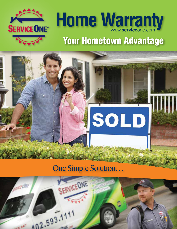



# Your Hometown Advantage



## One Simple Solution…

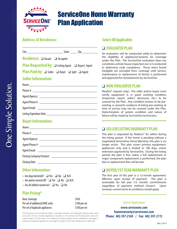

## ServiceOne Home Warranty Plan Application

#### **Address of Residence:**

| <b>Residence:</b> $\Box$ Vacant $\Box$ Occupied                                                                                                                                                                               |  |
|-------------------------------------------------------------------------------------------------------------------------------------------------------------------------------------------------------------------------------|--|
| <b>Plan Requested by:</b> $\Box$ Listing Agent $\Box$ Buyer's Agent                                                                                                                                                           |  |
| <b>Plan Paid by:</b> $\Box$ Seller $\Box$ Buyer $\Box$ Split $\Box$ Agent                                                                                                                                                     |  |
| <b>Seller Information:</b>                                                                                                                                                                                                    |  |
| Name: Name and the second contract of the second contract of the second contract of the second contract of the second contract of the second contract of the second contract of the second contract of the second contract of |  |
|                                                                                                                                                                                                                               |  |
|                                                                                                                                                                                                                               |  |
|                                                                                                                                                                                                                               |  |
|                                                                                                                                                                                                                               |  |
|                                                                                                                                                                                                                               |  |
|                                                                                                                                                                                                                               |  |

#### **Buyer Information:**

#### **Other Information:**

- Are dogs kenneled?  $\Box$  Yes  $\Box$  No  $\Box$  N/A
- Are alarms turned off?  $\Box$  Yes  $\Box$  No  $\Box$  N/A
- Are all utilities turned on?  $\Box$  Yes  $\Box$  No

#### **Plan Pricing\***

| <b>Basic Coverage</b>            | \$450         |
|----------------------------------|---------------|
| Per set of additional HVAC units | \$100 per set |
| Per set of duplicate appliances  | \$100 per set |

\*Pricing does not include tax. Basic coverage includes one heating/cooling system and one each of the covered appliances located in the primary kitchen/laundry and one water heater. If more than one heating & cooling system exists, additional coverage is required. Duplicate appliances coverage includes a 2nd water heater and is optional.

#### **Select All Applicable:**

#### **Q EVALUATED PLAN**

An evaluation will be conducted solely to determine the eligibility of appliances/systems for coverage under this Plan. The ServiceOne evaluation does not constitute a whole house inspection nor is it conducted to determine code compliance. Those items found ineligible are excluded from coverage until service, maintenance or replacement of item(s) is performed and approved for reinstatement by ServiceOne.

#### **Q NON-EVALUATED PLAN**

(Realtor® request only.) The seller and/or buyer must certify equipment is in good working condition (inspection report, seller's disclosure, etc.) to be covered by the Plan. Any condition known to be preexisting or presents evidence of being pre-existing at time of service may not be covered under the Plan. Determination of system condition and nature of failure will be made by ServiceOne technicians.

#### q **SELLER/LISTING WARRANTY PLAN**

This plan is requested by Realtors® for sellers during the listing period. If the home is pending without a negotiated ServiceOne Home Warranty, this plan is no longer active. This plan covers primary equipment/ appliances only and is limited to 180 days, unless extension approved by ServiceOne. During the listing period, the plan is free unless a full replacement or major component replacement is performed, the plan fees or replacement fees will be due.

#### **□ BUYER/1ST YEAR WARRANTY PLAN**

The first year of this plan is a 12-month agreement, effective upon receipt of payment. The plan is renewable for full year (12 month) commitments (regardless of payment method chosen). Upon renewal, current terms & conditions would apply.

#### Submit Application:

**www.serviceone.com homewarranty@serviceone.com Phone: 402-597-2169 / Fax: 402-597-2115**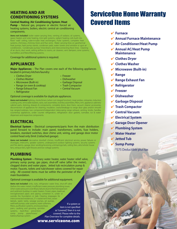#### HEATING AND AIR CONDITIONING SYSTEMS

#### **Central Heating /Air Conditioning System /Heat**

**Pump** – Natural gas, propane or electric forced air heating systems, boilers, electric central air conditioning components.

*Items not included:* boiler water-carrying lines, venting of radiator, oil systems, space heaters and solar heating, mini-split systems, radiant heating coils built into floor/ wall/ ceiling, tube-in-tube heat exchangers, Pulse systems, complete heat systems, chimneys, chimney liners and flue vents. Water carrying lines on geothermal heat pumps, heat pump stands, condenser pads, water towers and window or spot air conditioners. Condensate pumps/ lines/drains and interconnecting freon lines. Cleaning of air ducts, duct work, setting airflow to rooms, air cleaners, vent dampers, zone systems, humidifiers and filters/filtering systems.

Coverage for additional systems is required.

#### APPLIANCES

**Major Appliances** – The Plan covers one each of the following appliances located in primary kitchen/laundry:

- Clothes Dryer
- Clothes Washer
- Microwave (Built-in)
- Range (or oven & cooktop)
- Range Exhaust Fan
- Refrigerator

#### Optional coverage is available for duplicate appliances.

*Items not included:* lighting, clocks/timers (when not integral function), meat probes, rotisseries, induction cooking units, removable baskets, racks, rack assemblies, lock/key assemblies, filters, trim, appliance cabinets/ cabinet parts, shelving, drawers & components, complete doors, door liners, vacuum cleaner accessories, disconnection of appliances for cleaning, insulation, cracks/breakage to range door glass and/or smooth top ranges/cooktops, two component/independent telescoping range exhaust, venting, knobs, handles, countertop appliances, under counter refrigeration, refrigeration door gaskets, icemaker, ice & water dispensers and respective components.

#### ELECTRICAL

**Electrical System** – Electrical components/parts from the main distribution panel forward to include: main panel, transformers, outlets, fuse holders, breakers, standard switches, door chime unit, wiring, and garage door motor control head only (limit 2/attached garage).

**Items not included:** decorative doorbell chimes, insufficient electrical service, power failures or shortages, intercoms, speaker systems, underground outdoor lighting systems, security systems and fire alarms, garage door sending/receiving unit/springs/rails, ceiling fans, attic/whole house fans, exhaust fans, light fixtures and low voltage systems.

#### PLUMBING

**Plumbing System** – Primary water heater, water heater relief valve, primary sump pump, gas pipes, shut-off valve (after the meter), clogged drains and water pipes. Jetted tub recirculation pump & motor. Faucets, toilets and tub/shower valves covered for repair only. All covered items must be within the perimeter of the main foundation.

Optional coverage is available for additional equipment.

*Items not included:* sinks, tubs, refrigerator water lines, shut-off valve (before the water meter), insufficient water pressure, plumbing issues when water pressure is over 80 psi, failures due to thermal expansion and sediment buildup in water heaters. Frozen pipes, lead/cast iron/galvanized pipes and piping contained in, under or outside the foundation or slab. Clearing stoppages for interconnected residences, 3"+ waste/vent lines, sewer laterals, septic tanks, sewage pumps, jet pumps, well/well pumps, solar systems, water softeners, filters, purification systems, enclosures/base pans, caulking and grouting, sprinkler systems, back-flow prevention, sump pump pipes/hoses/ battery/backup system. If a system or item is not specified as "covered," then it is not covered. Please refer to the Plan Overview for complete details.

#### www.serviceone.com

## ServiceOne Home Warranty Covered Items

- 4 **Furnace**
- 4 **Annual Furnace Maintenance**
- 4 **Air Conditioner/Heat Pump**
- 4 **Annual AC/Heat Pump Maintenance**
- 4 **Clothes Dryer**
- 4 **Clothes Washer**
- 4 **Microwave (Built-in)**
- 4 **Range**
- 4 **Range Exhaust Fan**
- 4 **Refrigerator**
- 4 **Freezer**
- 4 **Dishwasher**
- 4 **Garbage Disposal**
- 4 **Trash Compactor**
- 4 **Central Vacuum**
- 4 **Electrical System**
- 4 **Garage Door Opener**
- 4 **Plumbing System**
- 4 **Water Heater**
- 4 **Jetted Tub**

atur

 $0.988$ 

- 4 **Sump Pump**
	- \*\$75 Deductible plus tax

• Freezer

- Dishwasher
- Garbage Disposal • Trash Compactor
- Central Vacuum